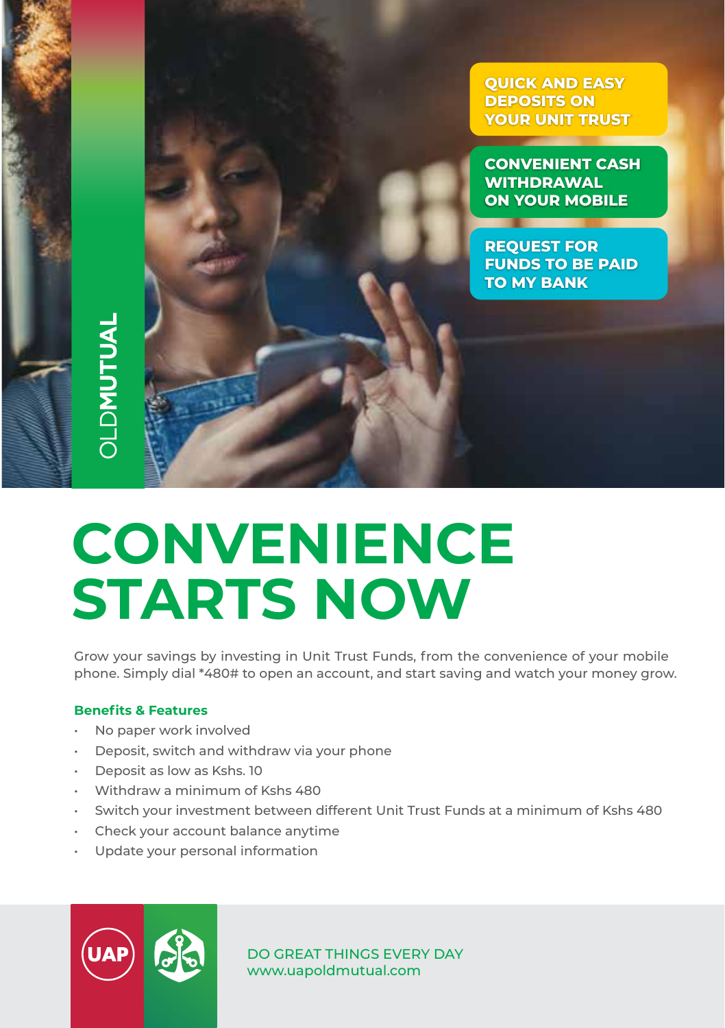**QUICK AND EASY DEPOSITS ON YOUR UNIT TRUST**

**CONVENIENT CASH WITHDRAWAL ON YOUR MOBILE** 

**REQUEST FOR FUNDS TO BE PAID TO MY BANK**

## **JLDMUTUAL**

## **CONVENIENCE STARTS NOW**

Grow your savings by investing in Unit Trust Funds, from the convenience of your mobile phone. Simply dial \*480# to open an account, and start saving and watch your money grow.

## **Benefits & Features**

- No paper work involved
- Deposit, switch and withdraw via your phone
- Deposit as low as Kshs. 10
- Withdraw a minimum of Kshs 480
- Switch your investment between different Unit Trust Funds at a minimum of Kshs 480
- Check your account balance anytime
- Update your personal information